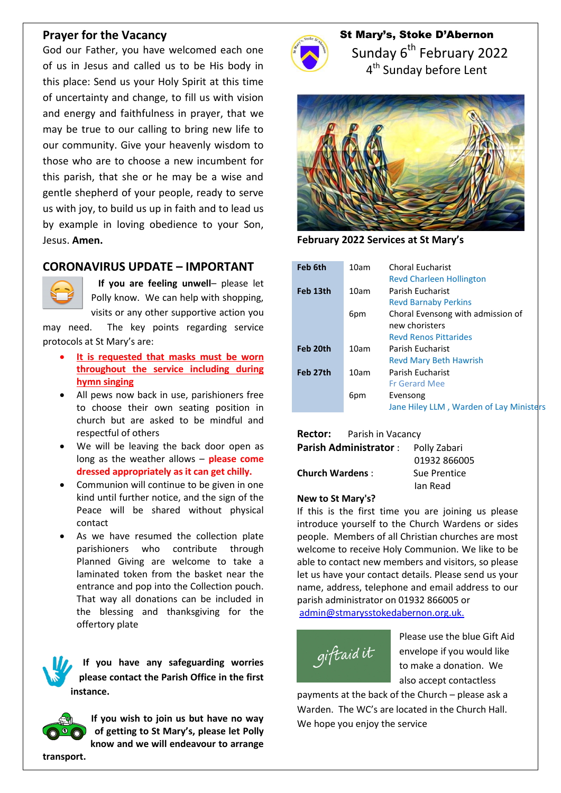### **Prayer for the Vacancy**

God our Father, you have welcomed each one of us in Jesus and called us to be His body in this place: Send us your Holy Spirit at this time of uncertainty and change, to fill us with vision and energy and faithfulness in prayer, that we may be true to our calling to bring new life to our community. Give your heavenly wisdom to those who are to choose a new incumbent for this parish, that she or he may be a wise and gentle shepherd of your people, ready to serve us with joy, to build us up in faith and to lead us by example in loving obedience to your Son, Jesus. **Amen.**

# **CORONAVIRUS UPDATE – IMPORTANT**



 **If you are feeling unwell**– please let Polly know. We can help with shopping, visits or any other supportive action you

may need. The key points regarding service protocols at St Mary's are:

- **It is requested that masks must be worn throughout the service including during hymn singing**
- All pews now back in use, parishioners free to choose their own seating position in church but are asked to be mindful and respectful of others
- We will be leaving the back door open as long as the weather allows – **please come dressed appropriately as it can get chilly.**
- Communion will continue to be given in one kind until further notice, and the sign of the Peace will be shared without physical contact
- As we have resumed the collection plate parishioners who contribute through Planned Giving are welcome to take a laminated token from the basket near the entrance and pop into the Collection pouch. That way all donations can be included in the blessing and thanksgiving for the offertory plate

**If you have any safeguarding worries please contact the Parish Office in the first instance.**



**If you wish to join us but have no way of getting to St Mary's, please let Polly know and we will endeavour to arrange** 



St Mary's, Stoke D'Abernon Sunday 6<sup>th</sup> February 2022 4<sup>th</sup> Sunday before Lent



**February 2022 Services at St Mary's**

| Feb 6th  | 10am | <b>Choral Eucharist</b><br><b>Revd Charleen Hollington</b>                          |
|----------|------|-------------------------------------------------------------------------------------|
| Feb 13th | 10am | Parish Fucharist<br><b>Revd Barnaby Perkins</b>                                     |
|          | 6pm  | Choral Evensong with admission of<br>new choristers<br><b>Revd Renos Pittarides</b> |
| Feb 20th | 10am | Parish Eucharist<br><b>Revd Mary Beth Hawrish</b>                                   |
| Feb 27th | 10am | Parish Eucharist<br><b>Fr Gerard Mee</b>                                            |
|          | 6pm  | Evensong<br>Jane Hiley LLM, Warden of Lay Ministers                                 |

**Rector:** Parish in Vacancy

| Church Wardens : |  |
|------------------|--|

Parish Administrator : Polly Zabari 01932 866005 **Sue Prentice** Ian Read

#### **New to St Mary's?**

If this is the first time you are joining us please introduce yourself to the Church Wardens or sides people. Members of all Christian churches are most welcome to receive Holy Communion. We like to be able to contact new members and visitors, so please let us have your contact details. Please send us your name, address, telephone and email address to our parish administrator on 01932 866005 or [admin@stmarysstokedabernon.org.uk.](mailto:admin@stmarysstokedabernon.org.uk)



Please use the blue Gift Aid envelope if you would like to make a donation. We also accept contactless

payments at the back of the Church – please ask a Warden. The WC's are located in the Church Hall. We hope you enjoy the service

**transport.**